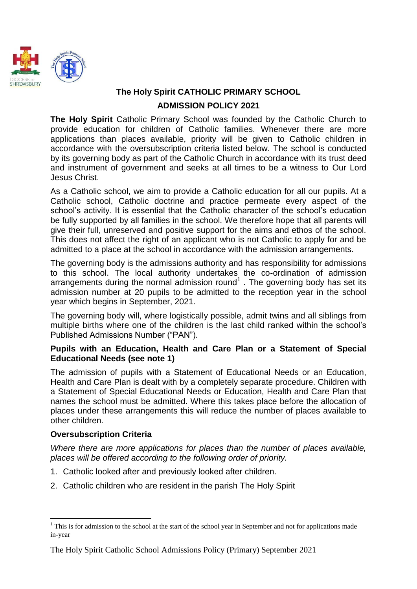

# **The Holy Spirit CATHOLIC PRIMARY SCHOOL ADMISSION POLICY 2021**

**The Holy Spirit** Catholic Primary School was founded by the Catholic Church to provide education for children of Catholic families. Whenever there are more applications than places available, priority will be given to Catholic children in accordance with the oversubscription criteria listed below. The school is conducted by its governing body as part of the Catholic Church in accordance with its trust deed and instrument of government and seeks at all times to be a witness to Our Lord Jesus Christ.

As a Catholic school, we aim to provide a Catholic education for all our pupils. At a Catholic school, Catholic doctrine and practice permeate every aspect of the school's activity. It is essential that the Catholic character of the school's education be fully supported by all families in the school. We therefore hope that all parents will give their full, unreserved and positive support for the aims and ethos of the school. This does not affect the right of an applicant who is not Catholic to apply for and be admitted to a place at the school in accordance with the admission arrangements.

The governing body is the admissions authority and has responsibility for admissions to this school. The local authority undertakes the co-ordination of admission arrangements during the normal admission round<sup>1</sup>. The governing body has set its admission number at 20 pupils to be admitted to the reception year in the school year which begins in September, 2021.

The governing body will, where logistically possible, admit twins and all siblings from multiple births where one of the children is the last child ranked within the school's Published Admissions Number ("PAN").

### **Pupils with an Education, Health and Care Plan or a Statement of Special Educational Needs (see note 1)**

The admission of pupils with a Statement of Educational Needs or an Education, Health and Care Plan is dealt with by a completely separate procedure. Children with a Statement of Special Educational Needs or Education, Health and Care Plan that names the school must be admitted. Where this takes place before the allocation of places under these arrangements this will reduce the number of places available to other children.

### **Oversubscription Criteria**

*Where there are more applications for places than the number of places available, places will be offered according to the following order of priority.*

- 1. Catholic looked after and previously looked after children.
- 2. Catholic children who are resident in the parish The Holy Spirit

<sup>1</sup>  $1$  This is for admission to the school at the start of the school year in September and not for applications made in-year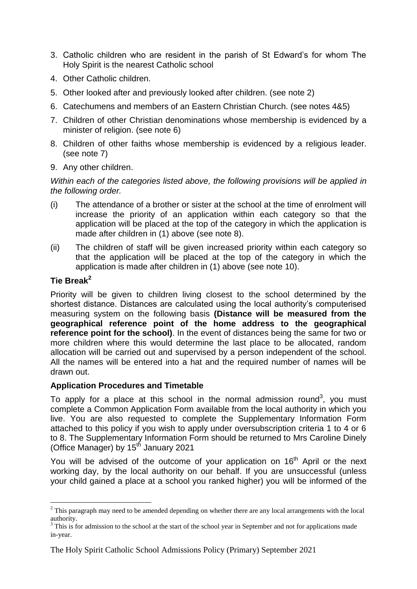- 3. Catholic children who are resident in the parish of St Edward's for whom The Holy Spirit is the nearest Catholic school
- 4. Other Catholic children.
- 5. Other looked after and previously looked after children. (see note 2)
- 6. Catechumens and members of an Eastern Christian Church. (see notes 4&5)
- 7. Children of other Christian denominations whose membership is evidenced by a minister of religion. (see note 6)
- 8. Children of other faiths whose membership is evidenced by a religious leader. (see note 7)
- 9. Any other children.

*Within each of the categories listed above, the following provisions will be applied in the following order.*

- (i) The attendance of a brother or sister at the school at the time of enrolment will increase the priority of an application within each category so that the application will be placed at the top of the category in which the application is made after children in (1) above (see note 8).
- (ii) The children of staff will be given increased priority within each category so that the application will be placed at the top of the category in which the application is made after children in (1) above (see note 10).

## **Tie Break<sup>2</sup>**

1

Priority will be given to children living closest to the school determined by the shortest distance. Distances are calculated using the local authority's computerised measuring system on the following basis **(Distance will be measured from the geographical reference point of the home address to the geographical reference point for the school).** In the event of distances being the same for two or more children where this would determine the last place to be allocated, random allocation will be carried out and supervised by a person independent of the school. All the names will be entered into a hat and the required number of names will be drawn out.

### **Application Procedures and Timetable**

To apply for a place at this school in the normal admission round<sup>3</sup>, you must complete a Common Application Form available from the local authority in which you live. You are also requested to complete the Supplementary Information Form attached to this policy if you wish to apply under oversubscription criteria 1 to 4 or 6 to 8. The Supplementary Information Form should be returned to Mrs Caroline Dinely (Office Manager) by 15<sup>th</sup> January 2021

You will be advised of the outcome of your application on 16<sup>th</sup> April or the next working day, by the local authority on our behalf. If you are unsuccessful (unless your child gained a place at a school you ranked higher) you will be informed of the

<sup>&</sup>lt;sup>2</sup> This paragraph may need to be amended depending on whether there are any local arrangements with the local authority.

 $3$  This is for admission to the school at the start of the school year in September and not for applications made in-year.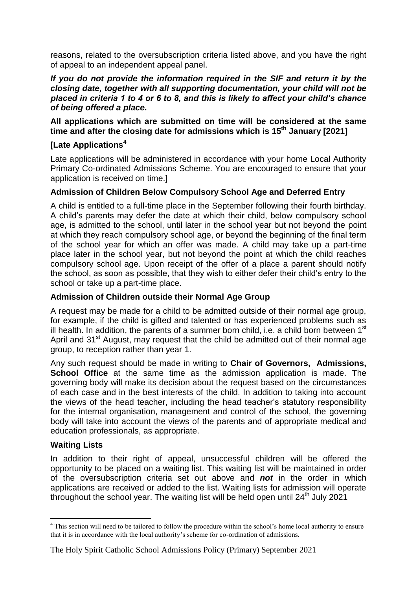reasons, related to the oversubscription criteria listed above, and you have the right of appeal to an independent appeal panel.

#### *If you do not provide the information required in the SIF and return it by the closing date, together with all supporting documentation, your child will not be placed in criteria 1 to 4 or 6 to 8, and this is likely to affect your child's chance of being offered a place.*

**All applications which are submitted on time will be considered at the same time and after the closing date for admissions which is 15th January [2021]**

### **[Late Applications<sup>4</sup>**

Late applications will be administered in accordance with your home Local Authority Primary Co-ordinated Admissions Scheme. You are encouraged to ensure that your application is received on time.]

### **Admission of Children Below Compulsory School Age and Deferred Entry**

A child is entitled to a full-time place in the September following their fourth birthday. A child's parents may defer the date at which their child, below compulsory school age, is admitted to the school, until later in the school year but not beyond the point at which they reach compulsory school age, or beyond the beginning of the final term of the school year for which an offer was made. A child may take up a part-time place later in the school year, but not beyond the point at which the child reaches compulsory school age. Upon receipt of the offer of a place a parent should notify the school, as soon as possible, that they wish to either defer their child's entry to the school or take up a part-time place.

### **Admission of Children outside their Normal Age Group**

A request may be made for a child to be admitted outside of their normal age group, for example, if the child is gifted and talented or has experienced problems such as ill health. In addition, the parents of a summer born child, i.e. a child born between  $1<sup>st</sup>$ April and 31<sup>st</sup> August, may request that the child be admitted out of their normal age group, to reception rather than year 1.

Any such request should be made in writing to **Chair of Governors, Admissions, School Office** at the same time as the admission application is made. The governing body will make its decision about the request based on the circumstances of each case and in the best interests of the child. In addition to taking into account the views of the head teacher, including the head teacher's statutory responsibility for the internal organisation, management and control of the school, the governing body will take into account the views of the parents and of appropriate medical and education professionals, as appropriate.

### **Waiting Lists**

In addition to their right of appeal, unsuccessful children will be offered the opportunity to be placed on a waiting list. This waiting list will be maintained in order of the oversubscription criteria set out above and *not* in the order in which applications are received or added to the list. Waiting lists for admission will operate throughout the school year. The waiting list will be held open until 24<sup>th</sup> July 2021

<sup>1</sup> <sup>4</sup> This section will need to be tailored to follow the procedure within the school's home local authority to ensure that it is in accordance with the local authority's scheme for co-ordination of admissions.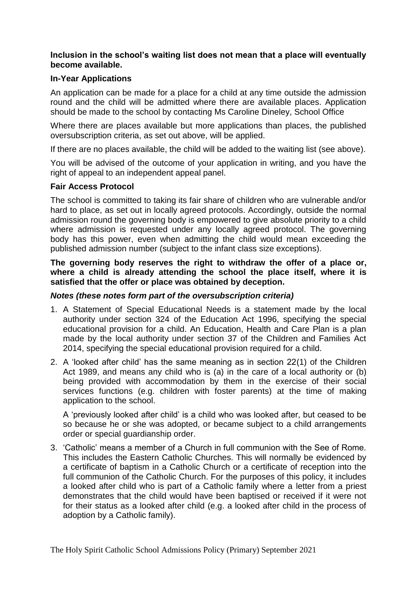### **Inclusion in the school's waiting list does not mean that a place will eventually become available.**

### **In-Year Applications**

An application can be made for a place for a child at any time outside the admission round and the child will be admitted where there are available places. Application should be made to the school by contacting Ms Caroline Dineley, School Office

Where there are places available but more applications than places, the published oversubscription criteria, as set out above, will be applied.

If there are no places available, the child will be added to the waiting list (see above).

You will be advised of the outcome of your application in writing, and you have the right of appeal to an independent appeal panel.

#### **Fair Access Protocol**

The school is committed to taking its fair share of children who are vulnerable and/or hard to place, as set out in locally agreed protocols. Accordingly, outside the normal admission round the governing body is empowered to give absolute priority to a child where admission is requested under any locally agreed protocol. The governing body has this power, even when admitting the child would mean exceeding the published admission number (subject to the infant class size exceptions).

**The governing body reserves the right to withdraw the offer of a place or, where a child is already attending the school the place itself, where it is satisfied that the offer or place was obtained by deception.**

#### *Notes (these notes form part of the oversubscription criteria)*

- 1. A Statement of Special Educational Needs is a statement made by the local authority under section 324 of the Education Act 1996, specifying the special educational provision for a child. An Education, Health and Care Plan is a plan made by the local authority under section 37 of the Children and Families Act 2014, specifying the special educational provision required for a child.
- 2. A 'looked after child' has the same meaning as in section 22(1) of the Children Act 1989, and means any child who is (a) in the care of a local authority or (b) being provided with accommodation by them in the exercise of their social services functions (e.g. children with foster parents) at the time of making application to the school.

A 'previously looked after child' is a child who was looked after, but ceased to be so because he or she was adopted, or became subject to a child arrangements order or special guardianship order.

3. 'Catholic' means a member of a Church in full communion with the See of Rome. This includes the Eastern Catholic Churches. This will normally be evidenced by a certificate of baptism in a Catholic Church or a certificate of reception into the full communion of the Catholic Church. For the purposes of this policy, it includes a looked after child who is part of a Catholic family where a letter from a priest demonstrates that the child would have been baptised or received if it were not for their status as a looked after child (e.g. a looked after child in the process of adoption by a Catholic family).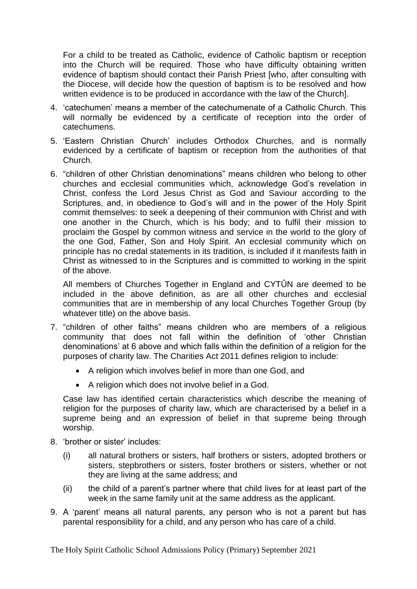For a child to be treated as Catholic, evidence of Catholic baptism or reception into the Church will be required. Those who have difficulty obtaining written evidence of baptism should contact their Parish Priest [who, after consulting with the Diocese, will decide how the question of baptism is to be resolved and how written evidence is to be produced in accordance with the law of the Church].

- 4. 'catechumen' means a member of the catechumenate of a Catholic Church. This will normally be evidenced by a certificate of reception into the order of catechumens.
- 5. 'Eastern Christian Church' includes Orthodox Churches, and is normally evidenced by a certificate of baptism or reception from the authorities of that Church.
- 6. "children of other Christian denominations" means children who belong to other churches and ecclesial communities which, acknowledge God's revelation in Christ, confess the Lord Jesus Christ as God and Saviour according to the Scriptures, and, in obedience to God's will and in the power of the Holy Spirit commit themselves: to seek a deepening of their communion with Christ and with one another in the Church, which is his body; and to fulfil their mission to proclaim the Gospel by common witness and service in the world to the glory of the one God, Father, Son and Holy Spirit. An ecclesial community which on principle has no credal statements in its tradition, is included if it manifests faith in Christ as witnessed to in the Scriptures and is committed to working in the spirit of the above.

All members of Churches Together in England and CYTÛN are deemed to be included in the above definition, as are all other churches and ecclesial communities that are in membership of any local Churches Together Group (by whatever title) on the above basis.

- 7. "children of other faiths" means children who are members of a religious community that does not fall within the definition of 'other Christian denominations' at 6 above and which falls within the definition of a religion for the purposes of charity law. The Charities Act 2011 defines religion to include:
	- A religion which involves belief in more than one God, and
	- A religion which does not involve belief in a God.

Case law has identified certain characteristics which describe the meaning of religion for the purposes of charity law, which are characterised by a belief in a supreme being and an expression of belief in that supreme being through worship.

- 8. 'brother or sister' includes:
	- (i) all natural brothers or sisters, half brothers or sisters, adopted brothers or sisters, stepbrothers or sisters, foster brothers or sisters, whether or not they are living at the same address; and
	- (ii) the child of a parent's partner where that child lives for at least part of the week in the same family unit at the same address as the applicant.
- 9. A 'parent' means all natural parents, any person who is not a parent but has parental responsibility for a child, and any person who has care of a child.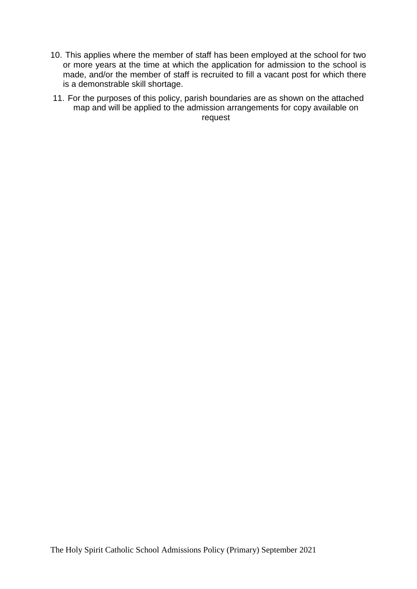- 10. This applies where the member of staff has been employed at the school for two or more years at the time at which the application for admission to the school is made, and/or the member of staff is recruited to fill a vacant post for which there is a demonstrable skill shortage.
- 11. For the purposes of this policy, parish boundaries are as shown on the attached map and will be applied to the admission arrangements for copy available on request